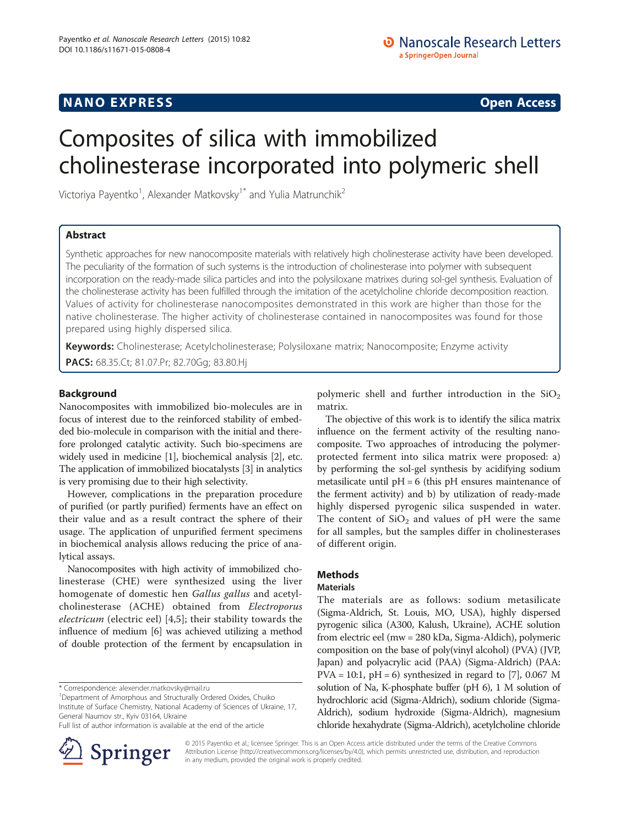## **NANO EXPRESS** Open Access and the set of the set of the set of the set of the set of the set of the set of the set of the set of the set of the set of the set of the set of the set of the set of the set of the set of the

# Composites of silica with immobilized cholinesterase incorporated into polymeric shell

Victoriya Payentko<sup>1</sup>, Alexander Matkovsky<sup>1\*</sup> and Yulia Matrunchik<sup>2</sup>

## Abstract

Synthetic approaches for new nanocomposite materials with relatively high cholinesterase activity have been developed. The peculiarity of the formation of such systems is the introduction of cholinesterase into polymer with subsequent incorporation on the ready-made silica particles and into the polysiloxane matrixes during sol-gel synthesis. Evaluation of the cholinesterase activity has been fulfilled through the imitation of the acetylcholine chloride decomposition reaction. Values of activity for cholinesterase nanocomposites demonstrated in this work are higher than those for the native cholinesterase. The higher activity of cholinesterase contained in nanocomposites was found for those prepared using highly dispersed silica.

Keywords: Cholinesterase; Acetylcholinesterase; Polysiloxane matrix; Nanocomposite; Enzyme activity PACS: 68.35.Ct; 81.07.Pr; 82.70Gg; 83.80.Hj

## Background

Nanocomposites with immobilized bio-molecules are in focus of interest due to the reinforced stability of embedded bio-molecule in comparison with the initial and therefore prolonged catalytic activity. Such bio-specimens are widely used in medicine [[1](#page-2-0)], biochemical analysis [\[2](#page-2-0)], etc. The application of immobilized biocatalysts [[3](#page-2-0)] in analytics is very promising due to their high selectivity.

However, complications in the preparation procedure of purified (or partly purified) ferments have an effect on their value and as a result contract the sphere of their usage. The application of unpurified ferment specimens in biochemical analysis allows reducing the price of analytical assays.

Nanocomposites with high activity of immobilized cholinesterase (CHE) were synthesized using the liver homogenate of domestic hen Gallus gallus and acetylcholinesterase (ACHE) obtained from Electroporus electricum (electric eel) [[4,5](#page-2-0)]; their stability towards the influence of medium [\[6\]](#page-2-0) was achieved utilizing a method of double protection of the ferment by encapsulation in

\* Correspondence: [alexender.matkovsky@mail.ru](mailto:alexender.matkovsky@mail.ru) <sup>1</sup>

Full list of author information is available at the end of the article



polymeric shell and further introduction in the  $SiO<sub>2</sub>$ matrix.

The objective of this work is to identify the silica matrix influence on the ferment activity of the resulting nanocomposite. Two approaches of introducing the polymerprotected ferment into silica matrix were proposed: a) by performing the sol-gel synthesis by acidifying sodium metasilicate until  $pH = 6$  (this  $pH$  ensures maintenance of the ferment activity) and b) by utilization of ready-made highly dispersed pyrogenic silica suspended in water. The content of  $SiO<sub>2</sub>$  and values of pH were the same for all samples, but the samples differ in cholinesterases of different origin.

## Methods

## **Materials**

The materials are as follows: sodium metasilicate (Sigma-Aldrich, St. Louis, MO, USA), highly dispersed pyrogenic silica (A300, Kalush, Ukraine), ACHE solution from electric eel (mw = 280 kDa, Sigma-Aldich), polymeric composition on the base of poly(vinyl alcohol) (PVA) (JVP, Japan) and polyacrylic acid (PAA) (Sigma-Aldrich) (PAA:  $PVA = 10:1$ ,  $pH = 6$ ) synthesized in regard to [\[7](#page-2-0)], 0.067 M solution of Na, K-phosphate buffer (pH 6), 1 M solution of hydrochloric acid (Sigma-Aldrich), sodium chloride (Sigma-Aldrich), sodium hydroxide (Sigma-Aldrich), magnesium chloride hexahydrate (Sigma-Aldrich), acetylcholine chloride

© 2015 Payentko et al.; licensee Springer. This is an Open Access article distributed under the terms of the Creative Commons Attribution License [\(http://creativecommons.org/licenses/by/4.0\)](http://creativecommons.org/licenses/by/4.0), which permits unrestricted use, distribution, and reproduction in any medium, provided the original work is properly credited.

<sup>&</sup>lt;sup>1</sup>Department of Amorphous and Structurally Ordered Oxides, Chuiko Institute of Surface Chemistry, National Academy of Sciences of Ukraine, 17, General Naumov str., Kyiv 03164, Ukraine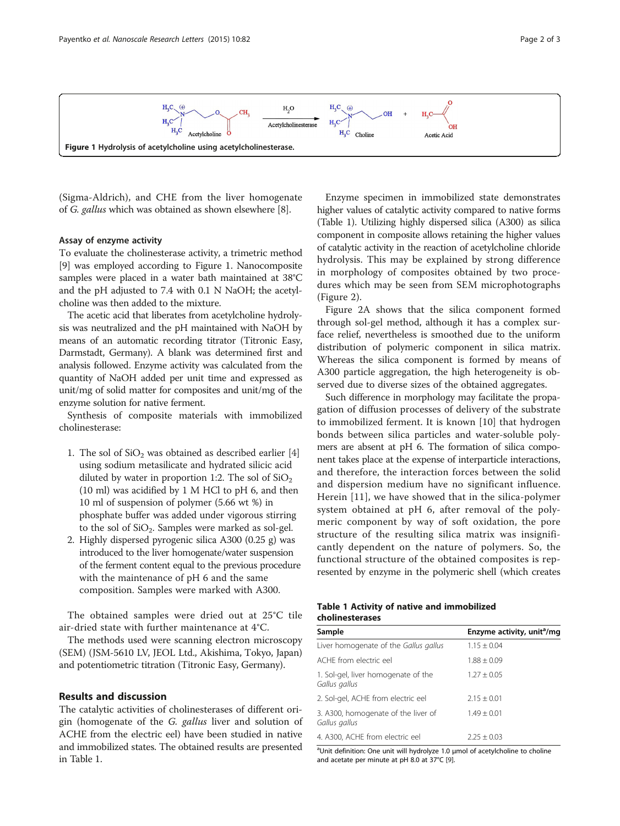

(Sigma-Aldrich), and CHE from the liver homogenate of G. gallus which was obtained as shown elsewhere [[8\]](#page-2-0).

#### Assay of enzyme activity

To evaluate the cholinesterase activity, a trimetric method [[9\]](#page-2-0) was employed according to Figure 1. Nanocomposite samples were placed in a water bath maintained at 38°C and the pH adjusted to 7.4 with 0.1 N NaOH; the acetylcholine was then added to the mixture.

The acetic acid that liberates from acetylcholine hydrolysis was neutralized and the pH maintained with NaOH by means of an automatic recording titrator (Titronic Easy, Darmstadt, Germany). A blank was determined first and analysis followed. Enzyme activity was calculated from the quantity of NaOH added per unit time and expressed as unit/mg of solid matter for composites and unit/mg of the enzyme solution for native ferment.

Synthesis of composite materials with immobilized cholinesterase:

- 1. The sol of  $SiO<sub>2</sub>$  was obtained as described earlier [\[4\]](#page-2-0) using sodium metasilicate and hydrated silicic acid diluted by water in proportion 1:2. The sol of  $SiO<sub>2</sub>$ (10 ml) was acidified by 1 M HCl to pH 6, and then 10 ml of suspension of polymer (5.66 wt %) in phosphate buffer was added under vigorous stirring to the sol of  $SiO<sub>2</sub>$ . Samples were marked as sol-gel.
- 2. Highly dispersed pyrogenic silica A300 (0.25 g) was introduced to the liver homogenate/water suspension of the ferment content equal to the previous procedure with the maintenance of pH 6 and the same composition. Samples were marked with A300.

The obtained samples were dried out at 25°C tile air-dried state with further maintenance at 4°C.

The methods used were scanning electron microscopy (SEM) (JSM-5610 LV, JEOL Ltd., Akishima, Tokyo, Japan) and potentiometric titration (Titronic Easy, Germany).

## Results and discussion

The catalytic activities of cholinesterases of different origin (homogenate of the G. gallus liver and solution of ACHE from the electric eel) have been studied in native and immobilized states. The obtained results are presented in Table 1.

Enzyme specimen in immobilized state demonstrates higher values of catalytic activity compared to native forms (Table 1). Utilizing highly dispersed silica (A300) as silica component in composite allows retaining the higher values of catalytic activity in the reaction of acetylcholine chloride hydrolysis. This may be explained by strong difference in morphology of composites obtained by two procedures which may be seen from SEM microphotographs (Figure [2](#page-2-0)).

Figure [2A](#page-2-0) shows that the silica component formed through sol-gel method, although it has a complex surface relief, nevertheless is smoothed due to the uniform distribution of polymeric component in silica matrix. Whereas the silica component is formed by means of A300 particle aggregation, the high heterogeneity is observed due to diverse sizes of the obtained aggregates.

Such difference in morphology may facilitate the propagation of diffusion processes of delivery of the substrate to immobilized ferment. It is known [[10\]](#page-2-0) that hydrogen bonds between silica particles and water-soluble polymers are absent at pH 6. The formation of silica component takes place at the expense of interparticle interactions, and therefore, the interaction forces between the solid and dispersion medium have no significant influence. Herein [\[11](#page-2-0)], we have showed that in the silica-polymer system obtained at pH 6, after removal of the polymeric component by way of soft oxidation, the pore structure of the resulting silica matrix was insignificantly dependent on the nature of polymers. So, the functional structure of the obtained composites is represented by enzyme in the polymeric shell (which creates

|  |                        |  | Table 1 Activity of native and immobilized |
|--|------------------------|--|--------------------------------------------|
|  | <b>cholinesterases</b> |  |                                            |

| Sample                                               | Enzyme activity, unit <sup>a</sup> /mg |
|------------------------------------------------------|----------------------------------------|
| Liver homogenate of the Gallus gallus                | $1.15 \pm 0.04$                        |
| ACHE from electric eel                               | $1.88 + 0.09$                          |
| 1. Sol-gel, liver homogenate of the<br>Gallus gallus | $1.27 + 0.05$                          |
| 2. Sol-gel, ACHE from electric eel                   | $2.15 + 0.01$                          |
| 3. A300, homogenate of the liver of<br>Gallus gallus | $1.49 + 0.01$                          |
| 4. A300, ACHE from electric eel                      | $2.25 + 0.03$                          |

<sup>a</sup>Unit definition: One unit will hydrolyze 1.0 μmol of acetylcholine to choline and acetate per minute at pH 8.0 at 37°C [\[9\]](#page-2-0).